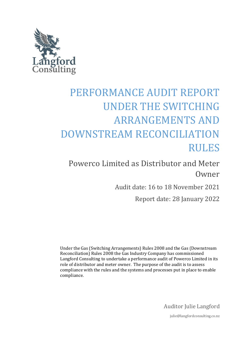

# PERFORMANCE AUDIT REPORT UNDER THE SWITCHING ARRANGEMENTS AND DOWNSTREAM RECONCILIATION RULES

Powerco Limited as Distributor and Meter Owner

Audit date: 16 to 18 November 2021

Report date: 28 January 2022

Under the Gas (Switching Arrangements) Rules 2008 and the Gas (Downstream Reconciliation) Rules 2008 the Gas Industry Company has commissioned Langford Consulting to undertake a performance audit of Powerco Limited in its role of distributor and meter owner. The purpose of the audit is to assess compliance with the rules and the systems and processes put in place to enable compliance.

Auditor Julie Langford

julie@langfordconsulting.co.nz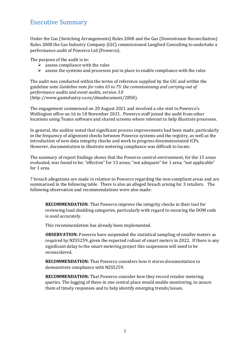## <span id="page-1-0"></span>Executive Summary

Under the Gas (Switching Arrangements) Rules 2008 and the Gas (Downstream Reconciliation) Rules 2008 the Gas Industry Company (GIC) commissioned Langford Consulting to undertake a performance audit of Powerco Ltd (Powerco).

The purpose of the audit is to:

- $\triangleright$  assess compliance with the rules
- $\triangleright$  assess the systems and processes put in place to enable compliance with the rules

The audit was conducted within the terms of reference supplied by the GIC and within the guideline note *Guideline note for rules 65 to 75: the commissioning and carrying out of performance audits and event audits, version 3.0* [\(http://www.gasindustry.co.nz/dmsdocument/2858\)](http://www.gasindustry.co.nz/dmsdocument/2858).

The engagement commenced on 20 August 2021 and involved a site visit to Powerco's Wellington office on 16 to 18 November 2021. Powerco staff joined the audit from other locations using Teams software and shared screens where relevant to help illustrate processes.

In general, the auditor noted that significant process improvements had been made, particularly in the frequency of alignment checks between Powerco systems and the registry, as well as the introduction of new data integrity checks and work to progress decommissioned ICPs. However, documentation to illustrate metering compliance was difficult to locate.

The summary of report findings shows that the Powerco control environment, for the 15 areas evaluated, was found to be: "effective" for 13 areas; "not adequate" for 1 area; "not applicable" for 1 area.

7 breach allegations are made in relation to Powerco regarding the non-compliant areas and are summarised in the following table. There is also an alleged breach arising for 3 retailers. The following observation and recommendations were also made:

**RECOMMENDATION**: That Powerco improve the integrity checks in their tool for reviewing load shedding categories, particularly with regard to ensuring the DOM code is used accurately.

This recommendation has already been implemented.

**OBSERVATION:** Powerco have suspended the statistical sampling of smaller meters as required by NZS5259, given the expected rollout of smart meters in 2022. If there is any significant delay to the smart metering project this suspension will need to be reconsidered.

**RECOMMENDATION:** That Powerco considers how it stores documentation to demonstrate compliance with NZS5259.

**RECOMMENDATION:** That Powerco consider how they record retailer metering queries. The logging of these in one central place would enable monitoring, to assure them of timely responses and to help identify emerging trends/issues.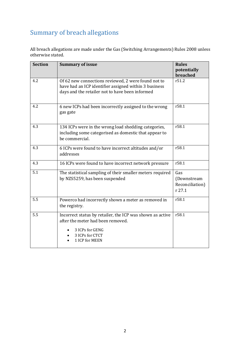## <span id="page-2-0"></span>Summary of breach allegations

All breach allegations are made under the Gas (Switching Arrangements) Rules 2008 unless otherwise stated.

| <b>Section</b> | <b>Summary of issue</b>                                                                                                                                         | <b>Rules</b><br>potentially<br>breached         |
|----------------|-----------------------------------------------------------------------------------------------------------------------------------------------------------------|-------------------------------------------------|
| 4.2            | Of 62 new connections reviewed, 2 were found not to<br>have had an ICP identifier assigned within 3 business<br>days and the retailer not to have been informed | r51.2                                           |
| 4.2            | 6 new ICPs had been incorrectly assigned to the wrong<br>gas gate                                                                                               | r58.1                                           |
| 4.3            | 134 ICPs were in the wrong load shedding categories,<br>including some categorised as domestic that appear to<br>be commercial.                                 | r58.1                                           |
| 4.3            | 6 ICPs were found to have incorrect altitudes and/or<br>addresses                                                                                               | r58.1                                           |
| 4.3            | 16 ICPs were found to have incorrect network pressure                                                                                                           | r58.1                                           |
| 5.1            | The statistical sampling of their smaller meters required<br>by NZS5259, has been suspended                                                                     | Gas<br>(Downstream<br>Reconciliation)<br>r 27.1 |
| 5.5            | Powerco had incorrectly shown a meter as removed in<br>the registry.                                                                                            | r58.1                                           |
| 5.5            | Incorrect status by retailer, the ICP was shown as active<br>after the meter had been removed.<br>3 ICPs for GENG<br>3 ICPs for CTCT<br>1 ICP for MEEN          | r58.1                                           |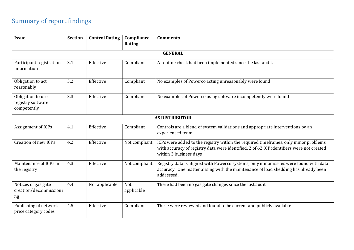## Summary of report findings

<span id="page-3-0"></span>

| <b>Issue</b>                                          | <b>Section</b> | <b>Control Rating</b> | Compliance        | <b>Comments</b>                                                                                                                                                                                           |  |
|-------------------------------------------------------|----------------|-----------------------|-------------------|-----------------------------------------------------------------------------------------------------------------------------------------------------------------------------------------------------------|--|
|                                                       |                |                       | Rating            |                                                                                                                                                                                                           |  |
|                                                       |                |                       |                   | <b>GENERAL</b>                                                                                                                                                                                            |  |
| Participant registration<br>information               | 3.1            | Effective             | Compliant         | A routine check had been implemented since the last audit.                                                                                                                                                |  |
| Obligation to act<br>reasonably                       | 3.2            | Effective             | Compliant         | No examples of Powerco acting unreasonably were found                                                                                                                                                     |  |
| Obligation to use<br>registry software<br>competently | 3.3            | Effective             | Compliant         | No examples of Powerco using software incompetently were found                                                                                                                                            |  |
| <b>AS DISTRIBUTOR</b>                                 |                |                       |                   |                                                                                                                                                                                                           |  |
| Assignment of ICPs                                    | 4.1            | Effective             | Compliant         | Controls are a blend of system validations and appropriate interventions by an<br>experienced team                                                                                                        |  |
| Creation of new ICPs                                  | 4.2            | Effective             | Not compliant     | ICPs were added to the registry within the required timeframes, only minor problems<br>with accuracy of registry data were identified, 2 of 62 ICP identifiers were not created<br>within 3 business days |  |
| Maintenance of ICPs in<br>the registry                | 4.3            | Effective             | Not compliant     | Registry data is aligned with Powerco systems, only minor issues were found with data<br>accuracy. One matter arising with the maintenance of load shedding has already been<br>addressed.                |  |
| Notices of gas gate<br>creation/decommissioni<br>ng   | 4.4            | Not applicable        | Not<br>applicable | There had been no gas gate changes since the last audit                                                                                                                                                   |  |
| Publishing of network<br>price category codes         | 4.5            | Effective             | Compliant         | These were reviewed and found to be current and publicly available                                                                                                                                        |  |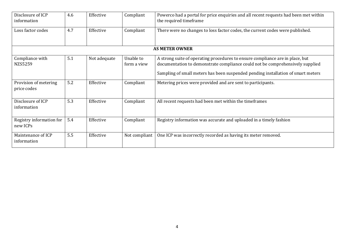| Disclosure of ICP<br>information     | 4.6 | Effective    | Compliant                | Powerco had a portal for price enquiries and all recent requests had been met within<br>the required timeframe                                                                                                                                     |
|--------------------------------------|-----|--------------|--------------------------|----------------------------------------------------------------------------------------------------------------------------------------------------------------------------------------------------------------------------------------------------|
| Loss factor codes                    | 4.7 | Effective    | Compliant                | There were no changes to loss factor codes, the current codes were published.                                                                                                                                                                      |
|                                      |     |              |                          | <b>AS METER OWNER</b>                                                                                                                                                                                                                              |
| Compliance with<br>NZS5259           | 5.1 | Not adequate | Unable to<br>form a view | A strong suite of operating procedures to ensure compliance are in place, but<br>documentation to demonstrate compliance could not be comprehensively supplied<br>Sampling of small meters has been suspended pending installation of smart meters |
| Provision of metering<br>price codes | 5.2 | Effective    | Compliant                | Metering prices were provided and are sent to participants.                                                                                                                                                                                        |
| Disclosure of ICP<br>information     | 5.3 | Effective    | Compliant                | All recent requests had been met within the timeframes                                                                                                                                                                                             |
| Registry information for<br>new ICPs | 5.4 | Effective    | Compliant                | Registry information was accurate and uploaded in a timely fashion                                                                                                                                                                                 |
| Maintenance of ICP<br>information    | 5.5 | Effective    | Not compliant            | One ICP was incorrectly recorded as having its meter removed.                                                                                                                                                                                      |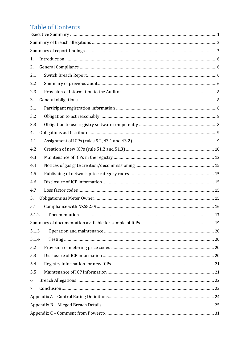## **Table of Contents**

| 1.    |  |  |  |  |
|-------|--|--|--|--|
| 2.    |  |  |  |  |
| 2.1   |  |  |  |  |
| 2.2   |  |  |  |  |
| 2.3   |  |  |  |  |
| 3.    |  |  |  |  |
| 3.1   |  |  |  |  |
| 3.2   |  |  |  |  |
| 3.3   |  |  |  |  |
| 4.    |  |  |  |  |
| 4.1   |  |  |  |  |
| 4.2   |  |  |  |  |
| 4.3   |  |  |  |  |
| 4.4   |  |  |  |  |
| 4.5   |  |  |  |  |
| 4.6   |  |  |  |  |
| 4.7   |  |  |  |  |
| 5.    |  |  |  |  |
| 5.1   |  |  |  |  |
| 5.1.2 |  |  |  |  |
|       |  |  |  |  |
| 5.1.3 |  |  |  |  |
| 5.1.4 |  |  |  |  |
| 5.2   |  |  |  |  |
| 5.3   |  |  |  |  |
| 5.4   |  |  |  |  |
| 5.5   |  |  |  |  |
| 6     |  |  |  |  |
| 7     |  |  |  |  |
|       |  |  |  |  |
|       |  |  |  |  |
|       |  |  |  |  |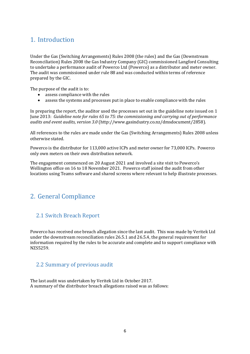## <span id="page-6-0"></span>1. Introduction

Under the Gas (Switching Arrangements) Rules 2008 (the rules) and the Gas (Downstream Reconciliation) Rules 2008 the Gas Industry Company (GIC) commissioned Langford Consulting to undertake a performance audit of Powerco Ltd (Powerco) as a distributor and meter owner. The audit was commissioned under rule 88 and was conducted within terms of reference prepared by the GIC.

The purpose of the audit is to:

- assess compliance with the rules
- assess the systems and processes put in place to enable compliance with the rules

In preparing the report, the auditor used the processes set out in the guideline note issued on 1 June 2013: *Guideline note for rules 65 to 75: the commissioning and carrying out of performance audits and event audits, version 3.0* [\(http://www.gasindustry.co.nz/dmsdocument/2858\)](http://www.gasindustry.co.nz/dmsdocument/2858).

All references to the rules are made under the Gas (Switching Arrangements) Rules 2008 unless otherwise stated.

Powerco is the distributor for 113,000 active ICPs and meter owner for 73,000 ICPs. Powerco only own meters on their own distribution network.

The engagement commenced on 20 August 2021 and involved a site visit to Powerco's Wellington office on 16 to 18 November 2021. Powerco staff joined the audit from other locations using Teams software and shared screens where relevant to help illustrate processes.

## <span id="page-6-1"></span>2. General Compliance

### <span id="page-6-2"></span>2.1 Switch Breach Report

Powerco has received one breach allegation since the last audit. This was made by Veritek Ltd under the downstream reconciliation rules 26.5.1 and 26.5.4, the general requirement for information required by the rules to be accurate and complete and to support compliance with NZS5259.

### <span id="page-6-3"></span>2.2 Summary of previous audit

The last audit was undertaken by Veritek Ltd in October 2017. A summary of the distributor breach allegations raised was as follows: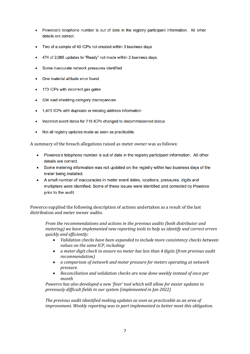- Powerco's telephone number is out of date in the registry participant information. All other details are correct
- Two of a sample of 40 ICPs not created within 3 business days
- 474 of 2,086 updates to "Ready" not made within 2 business days.
- Some inaccurate network pressures identified
- One material altitude error found
- 173 ICPs with incorrect gas gates
- 534 load shedding category discrepancies
- 1,479 ICPs with duplicate or missing address information
- Incorrect event dates for 715 ICPs changed to decommissioned status
- Not all registry updates made as soon as practicable.

A summary of the breach allegations raised as meter owner was as follows:

- Powerco's telephone number is out of date in the registry participant information. All other  $\bullet$ details are correct.
- Some metering information was not updated on the registry within two business days of the meter being installed.
- A small number of inaccuracies in meter event dates, locations, pressures, digits and multipliers were identified. Some of these issues were identified and corrected by Powerco prior to the audit.

Powerco supplied the following description of actions undertaken as a result of the last distribution and meter owner audits.

*From the recommendations and actions in the previous audits (both distributor and metering) we have implemented new reporting tools to help us identify and correct errors quickly and efficiently:*

- *Validation checks have been expanded to include more consistency checks between values on the same ICP, including:*
- *a meter digit check to ensure no meter has less than 4 digits (from previous audit recommendation)*
- *a comparison of network and meter pressure for meters operating at network pressure.*
- *Reconciliation and validation checks are now done weekly instead of once per month*

*Powerco has also developed a new 'fixer' tool which will allow for easier updates to previously difficult fields in our system (implemented in Jan 2022)*

*The previous audit identified making updates as soon as practicable as an area of improvement. Weekly reporting was in part implemented to better meet this obligation.*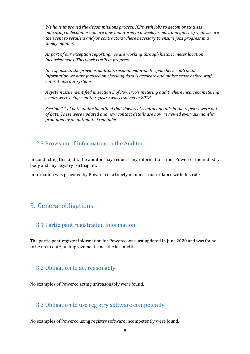*We have improved the decommissions process. ICPs with jobs to decom or statuses indicating a decommission are now monitored in a weekly report and queries/requests are then sent to retailers and/or contractors where necessary to ensure jobs progress in a timely manner.*

*As part of our exception reporting, we are working through historic meter location inconsistencies. This work is still in progress.*

*In response to the previous auditor's recommendation to spot check contractor information we have focused on checking data is accurate and makes sense before staff enter it into our systems.*

*A system issue identified in section 5 of Powerco's metering audit where incorrect metering events were being sent to registry was resolved in 2018.*

*Section 2.1 of both audits identified that Powerco's contact details in the registry were out of date. These were updated and now contact details are now reviewed every six months; prompted by an automated reminder.*

#### <span id="page-8-0"></span>2.3 Provision of Information to the Auditor

In conducting this audit, the auditor may request any information from Powerco, the industry body and any registry participant.

Information was provided by Powerco in a timely manner in accordance with this rule.

## <span id="page-8-1"></span>3. General obligations

#### <span id="page-8-2"></span>3.1 Participant registration information

The participant register information for Powerco was last updated in June 2020 and was found to be up to date, an improvement since the last audit.

#### <span id="page-8-3"></span>3.2 Obligation to act reasonably

No examples of Powerco acting unreasonably were found.

#### <span id="page-8-4"></span>3.3 Obligation to use registry software competently

No examples of Powerco using registry software incompetently were found.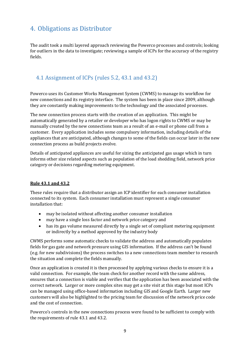## <span id="page-9-0"></span>4. Obligations as Distributor

The audit took a multi layered approach reviewing the Powerco processes and controls; looking for outliers in the data to investigate; reviewing a sample of ICPs for the accuracy of the registry fields.

## <span id="page-9-1"></span>4.1 Assignment of ICPs (rules 5.2, 43.1 and 43.2)

Powerco uses its Customer Works Management System (CWMS) to manage its workflow for new connections and its registry interface. The system has been in place since 2009, although they are constantly making improvements to the technology and the associated processes.

The new connection process starts with the creation of an application. This might be automatically generated by a retailer or developer who has logon rights to CWMS or may be manually created by the new connections team as a result of an e-mail or phone call from a customer. Every application includes some compulsory information, including details of the appliances that are anticipated, although changes to some of the fields can occur later in the new connection process as build projects evolve.

Details of anticipated appliances are useful for sizing the anticipated gas usage which in turn informs other size related aspects such as population of the load shedding field, network price category or decisions regarding metering equipment.

#### **Rule 43.1 and 43.2**

These rules require that a distributor assign an ICP identifier for each consumer installation connected to its system. Each consumer installation must represent a single consumer installation that:

- may be isolated without affecting another consumer installation
- may have a single loss factor and network price category and
- has its gas volume measured directly by a single set of compliant metering equipment or indirectly by a method approved by the industry body

CWMS performs some automatic checks to validate the address and automatically populates fields for gas gate and network pressure using GIS information. If the address can't be found (e.g. for new subdivisions) the process switches to a new connections team member to research the situation and complete the fields manually.

Once an application is created it is then processed by applying various checks to ensure it is a valid connection. For example, the team check for another record with the same address, ensures that a connection is viable and verifies that the application has been associated with the correct network. Larger or more complex sites may get a site visit at this stage but most ICPs can be managed using office-based information including GIS and Google Earth. Larger new customers will also be highlighted to the pricing team for discussion of the network price code and the cost of connection.

Powerco's controls in the new connections process were found to be sufficient to comply with the requirements of rule 43.1 and 43.2.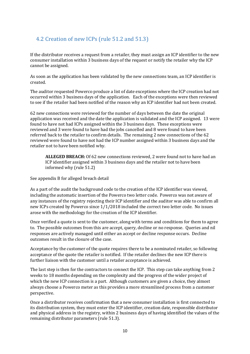## <span id="page-10-0"></span>4.2 Creation of new ICPs (rule 51.2 and 51.3)

If the distributor receives a request from a retailer, they must assign an ICP identifier to the new consumer installation within 3 business days of the request or notify the retailer why the ICP cannot be assigned.

As soon as the application has been validated by the new connections team, an ICP identifier is created.

The auditor requested Powerco produce a list of date exceptions where the ICP creation had not occurred within 3 business days of the application. Each of the exceptions were then reviewed to see if the retailer had been notified of the reason why an ICP identifier had not been created.

62 new connections were reviewed for the number of days between the date the original application was received and the date the application is validated and the ICP assigned. 13 were found to have not had ICPs assigned within the 3 business days. These exceptions were reviewed and 3 were found to have had the jobs cancelled and 8 were found to have been referred back to the retailer to confirm details. The remaining 2 new connections of the 62 reviewed were found to have not had the ICP number assigned within 3 business days and the retailer not to have been notified why.

**ALLEGED BREACH:** Of 62 new connections reviewed, 2 were found not to have had an ICP identifier assigned within 3 business days and the retailer not to have been informed why (rule 51.2)

See appendix B for alleged breach detail

As a part of the audit the background code to the creation of the ICP identifier was viewed, including the automatic insertion of the Powerco two letter code. Powerco was not aware of any instances of the registry rejecting their ICP identifier and the auditor was able to confirm all new ICPs created by Powerco since 1/1/2018 included the correct two letter code. No issues arose with the methodology for the creation of the ICP identifier.

Once verified a quote is sent to the customer, along with terms and conditions for them to agree to. The possible outcomes from this are accept, query, decline or no response. Queries and nil responses are actively managed until either an accept or decline response occurs. Decline outcomes result in the closure of the case.

Acceptance by the customer of the quote requires there to be a nominated retailer, so following acceptance of the quote the retailer is notified. If the retailer declines the new ICP there is further liaison with the customer until a retailer acceptance is achieved.

The last step is then for the contractors to connect the ICP. This step can take anything from 2 weeks to 18 months depending on the complexity and the progress of the wider project of which the new ICP connection is a part. Although customers are given a choice, they almost always choose a Powerco meter as this provides a more streamlined process from a customer perspective.

Once a distributor receives confirmation that a new consumer installation is first connected to its distribution system, they must enter the ICP identifier, creation date, responsible distributor and physical address in the registry, within 2 business days of having identified the values of the remaining distributor parameters (rule 51.3).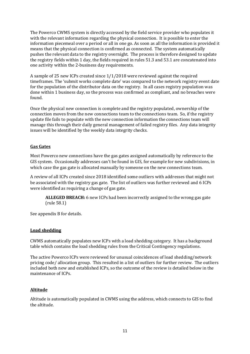The Powerco CWMS system is directly accessed by the field service provider who populates it with the relevant information regarding the physical connection. It is possible to enter the information piecemeal over a period or all in one go. As soon as all the information is provided it means that the physical connection is confirmed as connected. The system automatically pushes the relevant data to the registry overnight. The process is therefore designed to update the registry fields within 1 day, the fields required in rules 51.3 and 53.1 are concatenated into one activity within the 2-business day requirements.

A sample of 25 new ICPs created since 1/1/2018 were reviewed against the required timeframes. The 'submit works complete date' was compared to the network registry event date for the population of the distributor data on the registry. In all cases registry population was done within 1 business day, so the process was confirmed as compliant, and no breaches were found.

Once the physical new connection is complete and the registry populated, ownership of the connection moves from the new connections team to the connections team. So, if the registry update file fails to populate with the new connection information the connections team will manage this through their daily general management of failed registry files. Any data integrity issues will be identified by the weekly data integrity checks.

#### **Gas Gates**

Most Powerco new connections have the gas gates assigned automatically by reference to the GIS system. Occasionally addresses can't be found in GIS, for example for new subdivisions, in which case the gas gate is allocated manually by someone on the new connections team.

A review of all ICPs created since 2018 identified some outliers with addresses that might not be associated with the registry gas gate. The list of outliers was further reviewed and 6 ICPs were identified as requiring a change of gas gate.

**ALLEGED BREACH:** 6 new ICPs had been incorrectly assigned to the wrong gas gate (rule 58.1)

See appendix B for details.

#### **Load shedding**

CWMS automatically populates new ICPs with a load shedding category. It has a background table which contains the load shedding rules from the Critical Contingency regulations.

The active Powerco ICPs were reviewed for unusual coincidences of load shedding/network pricing code/ allocation group. This resulted in a list of outliers for further review. The outliers included both new and established ICPs, so the outcome of the review is detailed below in the maintenance of ICPs.

#### **Altitude**

Altitude is automatically populated in CWMS using the address, which connects to GIS to find the altitude.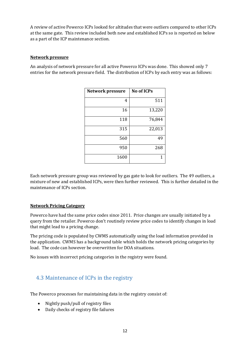A review of active Powerco ICPs looked for altitudes that were outliers compared to other ICPs at the same gate. This review included both new and established ICPs so is reported on below as a part of the ICP maintenance section.

#### **Network pressure**

An analysis of network pressure for all active Powerco ICPs was done. This showed only 7 entries for the network pressure field. The distribution of ICPs by each entry was as follows:

| <b>Network pressure</b> | <b>No of ICPs</b> |
|-------------------------|-------------------|
| 4                       | 511               |
| 16                      | 13,220            |
| 118                     | 76,844            |
| 315                     | 22,013            |
| 560                     | 49                |
| 950                     | 268               |
| 1600                    |                   |

Each network pressure group was reviewed by gas gate to look for outliers. The 49 outliers, a mixture of new and established ICPs, were then further reviewed. This is further detailed in the maintenance of ICPs section.

#### **Network Pricing Category**

Powerco have had the same price codes since 2011. Price changes are usually initiated by a query from the retailer. Powerco don't routinely review price codes to identify changes in load that might lead to a pricing change.

The pricing code is populated by CWMS automatically using the load information provided in the application. CWMS has a background table which holds the network pricing categories by load. The code can however be overwritten for DOA situations.

No issues with incorrect pricing categories in the registry were found.

## <span id="page-12-0"></span>4.3 Maintenance of ICPs in the registry

The Powerco processes for maintaining data in the registry consist of:

- Nightly push/pull of registry files
- Daily checks of registry file failures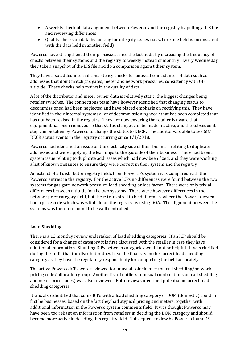- A weekly check of data alignment between Powerco and the registry by pulling a LIS file and reviewing differences
- Quality checks on data by looking for integrity issues (i.e. where one field is inconsistent with the data held in another field)

Powerco have strengthened their processes since the last audit by increasing the frequency of checks between their systems and the registry to weekly instead of monthly. Every Wednesday they take a snapshot of the LIS file and do a comparison against their system.

They have also added internal consistency checks for unusual coincidences of data such as addresses that don't match gas gates; meter and network pressures; consistency with GIS altitude. These checks help maintain the quality of data.

A lot of the distributor and meter owner data is relatively static, the biggest changes being retailer switches. The connections team have however identified that changing status to decommissioned had been neglected and have placed emphasis on rectifying this. They have identified in their internal systems a lot of decommissioning work that has been completed that has not been revised in the registry. They are now ensuring the retailer is aware that equipment has been removed so that status changes can be made inactive, and the subsequent step can be taken by Powerco to change the status to DECR. The auditor was able to see 687 DECR status events in the registry occurring since 1/1/2018.

Powerco had identified an issue on the electricity side of their business relating to duplicate addresses and were applying the learnings to the gas side of their business. There had been a system issue relating to duplicate addresses which had now been fixed, and they were working a list of known instances to ensure they were correct in their system and the registry.

An extract of all distributor registry fields from Powerco's system was compared with the Powerco entries in the registry. For the active ICPs no differences were found between the two systems for gas gate, network pressure, load shedding or loss factor. There were only trivial differences between altitude for the two systems. There were however differences in the network price category field, but these transpired to be differences where the Powerco system had a price code which was withheld on the registry by using DOA. The alignment between the systems was therefore found to be well controlled.

#### **Load Shedding**

There is a 12 monthly review undertaken of load shedding categories. If an ICP should be considered for a change of category it is first discussed with the retailer in case they have additional information. Shuffling ICPs between categories would not be helpful. It was clarified during the audit that the distributor does have the final say on the correct load shedding category as they have the regulatory responsibility for completing the field accurately.

The active Powerco ICPs were reviewed for unusual coincidences of load shedding/network pricing code/ allocation group. Another list of outliers (unusual combinations of load shedding and meter price codes) was also reviewed. Both reviews identified potential incorrect load shedding categories.

It was also identified that some ICPs with a load shedding category of DOM (domestic) could in fact be businesses, based on the fact they had atypical pricing and meters, together with additional information in the Powerco system comments field. It was thought Powerco may have been too reliant on information from retailers in deciding the DOM category and should become more active in deciding this registry field. Subsequent review by Powerco found 19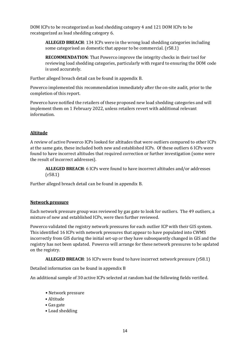DOM ICPs to be recategorized as load shedding category 4 and 121 DOM ICPs to be recategorized as load shedding category 6.

**ALLEGED BREACH**: 134 ICPs were in the wrong load shedding categories including some categorised as domestic that appear to be commercial. (r58.1)

**RECOMMENDATION**: That Powerco improve the integrity checks in their tool for reviewing load shedding categories, particularly with regard to ensuring the DOM code is used accurately.

Further alleged breach detail can be found in appendix B.

Powerco implemented this recommendation immediately after the on-site audit, prior to the completion of this report.

Powerco have notified the retailers of these proposed new load shedding categories and will implement them on 1 February 2022, unless retailers revert with additional relevant information.

#### **Altitude**

A review of active Powerco ICPs looked for altitudes that were outliers compared to other ICPs at the same gate, these included both new and established ICPs. Of these outliers 6 ICPs were found to have incorrect altitudes that required correction or further investigation (some were the result of incorrect addresses).

**ALLEGED BREACH**: 6 ICPs were found to have incorrect altitudes and/or addresses (r58.1)

Further alleged breach detail can be found in appendix B.

#### **Network pressure**

Each network pressure group was reviewed by gas gate to look for outliers. The 49 outliers, a mixture of new and established ICPs, were then further reviewed.

Powerco validated the registry network pressures for each outlier ICP with their GIS system. This identified 16 ICPs with network pressures that appear to have populated into CWMS incorrectly from GIS during the initial set-up or they have subsequently changed in GIS and the registry has not been updated. Powerco will arrange for these network pressures to be updated on the registry.

**ALLEGED BREACH**: 16 ICPs were found to have incorrect network pressure (r58.1)

Detailed information can be found in appendix B

An additional sample of 30 active ICPs selected at random had the following fields verified.

- Network pressure
- Altitude
- Gas gate
- Load shedding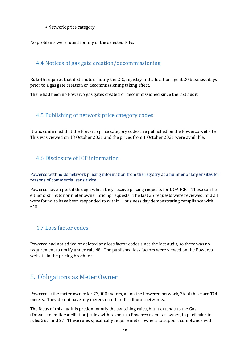• Network price category

No problems were found for any of the selected ICPs.

## <span id="page-15-0"></span>4.4 Notices of gas gate creation/decommissioning

Rule 45 requires that distributors notify the GIC, registry and allocation agent 20 business days prior to a gas gate creation or decommissioning taking effect.

There had been no Powerco gas gates created or decommissioned since the last audit.

## <span id="page-15-1"></span>4.5 Publishing of network price category codes

It was confirmed that the Powerco price category codes are published on the Powerco website. This was viewed on 18 October 2021 and the prices from 1 October 2021 were available.

### <span id="page-15-2"></span>4.6 Disclosure of ICP information

Powerco withholds network pricing information from the registry at a number of larger sites for reasons of commercial sensitivity.

Powerco have a portal through which they receive pricing requests for DOA ICPs. These can be either distributor or meter owner pricing requests. The last 25 requests were reviewed, and all were found to have been responded to within 1 business day demonstrating compliance with r50.

### <span id="page-15-3"></span>4.7 Loss factor codes

Powerco had not added or deleted any loss factor codes since the last audit, so there was no requirement to notify under rule 48. The published loss factors were viewed on the Powerco website in the pricing brochure.

## <span id="page-15-4"></span>5. Obligations as Meter Owner

Powerco is the meter owner for 73,000 meters, all on the Powerco network, 76 of these are TOU meters. They do not have any meters on other distributor networks.

The focus of this audit is predominantly the switching rules, but it extends to the Gas (Downstream Reconciliation) rules with respect to Powerco as meter owner, in particular to rules 26.5 and 27. These rules specifically require meter owners to support compliance with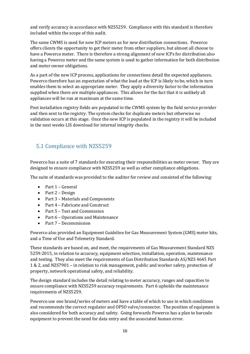and verify accuracy in accordance with NZS5259. Compliance with this standard is therefore included within the scope of this audit.

The same CWMS is used for new ICP meters as for new distribution connections. Powerco offers clients the opportunity to get their meter from other suppliers, but almost all choose to have a Powerco meter. There is therefore a strong alignment of new ICPs for distribution also having a Powerco meter and the same system is used to gather information for both distribution and meter owner obligations.

As a part of the new ICP process, applications for connections detail the expected appliances. Powerco therefore has an expectation of what the load at the ICP is likely to be, which in turn enables them to select an appropriate meter. They apply a diversity factor to the information supplied when there are multiple appliances. This allows for the fact that it is unlikely all appliances will be run at maximum at the same time.

Post installation registry fields are populated in the CWMS system by the field service provider and then sent to the registry. The system checks for duplicate meters but otherwise no validation occurs at this stage. Once the new ICP is populated in the registry it will be included in the next weeks LIS download for internal integrity checks.

### <span id="page-16-0"></span>5.1 Compliance with NZS5259

Powerco has a suite of 7 standards for executing their responsibilities as meter owner. They are designed to ensure compliance with NZS5259 as well as other compliance obligations.

The suite of standards was provided to the auditor for review and consisted of the following:

- Part 1 General
- Part 2 Design
- Part 3 Materials and Components
- Part 4 Fabricate and Construct
- Part 5 Test and Commission
- Part 6 Operations and Maintenance
- Part 7 Decommission

Powerco also provided an Equipment Guideline for Gas Measurement System (GMS) meter kits, and a Time of Use and Telemetry Standard.

These standards are based on, and meet, the requirements of Gas Measurement Standard NZS 5259:2015, in relation to accuracy, equipment selection, installation, operation, maintenance and testing. They also meet the requirements of Gas Distribution Standards AS/NZS 4645 Part 1 & 2, and NZS7901 – in relation to risk management, public and worker safety, protection of property, network operational safety, and reliability.

The design standard includes the detail relating to meter accuracy, ranges and capacities to ensure compliance with NZS5259 accuracy requirements. Part 6 upholds the maintenance requirements of NZS5259.

Powerco use one brand/series of meters and have a table of which to use in which conditions and recommends the correct regulator and OPSO valve/connector. The position of equipment is also considered for both accuracy and safety. Going forwards Powerco has a plan to barcode equipment to prevent the need for data entry and the associated human error.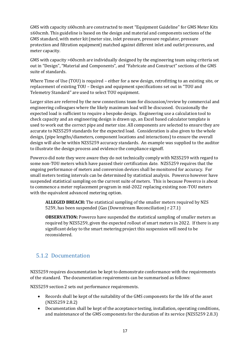GMS with capacity ≤60scmh are constructed to meet "Equipment Guideline" for GMS Meter Kits ≤60scmh. This guideline is based on the design and material and components sections of the GMS standard, with meter kit (meter size, inlet pressure, pressure regulator, pressure protection and filtration equipment) matched against different inlet and outlet pressures, and meter capacity.

GMS with capacity >60scmh are individually designed by the engineering team using criteria set out in "Design", "Material and Components", and "Fabricate and Construct" sections of the GMS suite of standards.

Where Time of Use (TOU) is required – either for a new design, retrofitting to an existing site, or replacement of existing TOU – Design and equipment specifications set out in "TOU and Telemetry Standard" are used to select TOU equipment.

Larger sites are referred by the new connections team for discussion/review by commercial and engineering colleagues where the likely maximum load will be discussed. Occasionally the expected load is sufficient to require a bespoke design. Engineering use a calculation tool to check capacity and an engineering design is drawn up, an Excel based calculator template is used to work out the correct pipe and meter size. All components are selected to ensure they are accurate to NZS5259 standards for the expected load. Consideration is also given to the whole design, (pipe lengths/diameters, component locations and interactions) to ensure the overall design will also be within NZS5259 accuracy standards. An example was supplied to the auditor to illustrate the design process and evidence the compliance signoff.

Powerco did note they were aware they do not technically comply with NZS5259 with regard to some non-TOU meters which have passed their certification date. NZS5259 requires that the ongoing performance of meters and conversion devices shall be monitored for accuracy. For small meters testing intervals can be determined by statistical analysis. Powerco however have suspended statistical sampling on the current suite of meters. This is because Powerco is about to commence a meter replacement program in mid-2022 replacing existing non-TOU meters with the equivalent advanced metering option.

**ALLEGED BREACH:** The statistical sampling of the smaller meters required by NZS 5259, has been suspended (Gas (Downstream Reconciliation) r 27.1)

**OBSERVATION:** Powerco have suspended the statistical sampling of smaller meters as required by NZS5259, given the expected rollout of smart meters in 2022. If there is any significant delay to the smart metering project this suspension will need to be reconsidered.

## <span id="page-17-0"></span>5.1.2 Documentation

NZS5259 requires documentation be kept to demonstrate conformance with the requirements of the standard. The documentation requirements can be summarised as follows:

NZS5259 section 2 sets out performance requirements.

- Records shall be kept of the suitability of the GMS components for the life of the asset (NZS5259 2.8.2)
- Documentation shall be kept of the acceptance testing, installation, operating conditions, and maintenance of the GMS components for the duration of its service (NZS5259 2.8.3)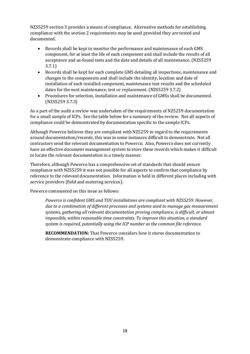NZS5259 section 3 provides a means of compliance. Alternative methods for establishing compliance with the section 2 requirements may be used provided they are tested and documented.

- Records shall be kept to monitor the performance and maintenance of each GMS component, for at least the life of each component and shall include the results of all acceptance and as-found tests and the date and details of all maintenance. (NZS5259 3.7.1)
- Records shall be kept for each complete GMS detailing all inspections, maintenance and changes to the components and shall include the identity, location and date of installation of each installed component, maintenance test results and the scheduled dates for the next maintenance, test or replacement. (NZS5259 3.7.2)
- Procedures for selection, installation and maintenance of GMSs shall be documented. (NZS5259 3.7.3)

As a part of the audit a review was undertaken of the requirements of NZ5259 documentation for a small sample of ICPs. See the table below for a summary of the review. Not all aspects of compliance could be demonstrated by documentation specific to the sample ICPs.

Although Powerco believes they are compliant with NZ5259 in regard to the requirements around documentation/records, this was in some instances difficult to demonstrate. Not all contractors send the relevant documentation to Powerco. Also, Powerco does not currently have an effective document management system to store these records which makes it difficult to locate the relevant documentation in a timely manner.

Therefore, although Powerco has a comprehensive set of standards that should ensure compliance with NZS5259 it was not possible for all aspects to confirm that compliance by reference to the relevant documentation. Information is held in different places including with service providers (field and metering services).

Powerco commented on this issue as follows:

*Powerco is confident GMS and TOU installations are compliant with NZS5259. However, due to a combination of different processes and systems used to manage gas measurement systems, gathering all relevant documentation proving compliance, is difficult, or almost impossible, within reasonable time constraints. To improve this situation, a standard system is required, potentially using the ICP number as the common file reference.*

**RECOMMENDATION:** That Powerco considers how it stores documentation to demonstrate compliance with NZS5259.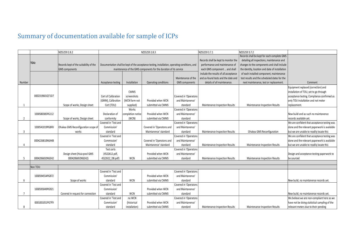## Summary of documentation available for sample of ICPs

<span id="page-19-0"></span>

|                |                 | NZS5259 2.8.2                          |                      |                                                                   | NZS5259 2.8.3                                                                                  |                               | NZS5259 3.7.1                                   | NZS5259 3.7.2                                |                                               |
|----------------|-----------------|----------------------------------------|----------------------|-------------------------------------------------------------------|------------------------------------------------------------------------------------------------|-------------------------------|-------------------------------------------------|----------------------------------------------|-----------------------------------------------|
|                |                 |                                        |                      |                                                                   |                                                                                                |                               |                                                 | Records shall be kept for each complete GMS  |                                               |
|                | TOU:            |                                        |                      |                                                                   |                                                                                                |                               | Records shall be kept to monitor the            | detailing all inspections, maintenance and   |                                               |
|                |                 | Records kept of the suitability of the |                      |                                                                   | Documentation shall be kept of the acceptance testing, installation, operating conditions, and |                               | performance and maintenance of                  | changes to the components and shall include  |                                               |
|                |                 | <b>GMS</b> components                  |                      | maintenance of the GMS components for the duration of its service |                                                                                                | each GMS component  and shall | the identity, location and date of installation |                                              |                                               |
|                |                 |                                        |                      |                                                                   |                                                                                                |                               | include the results of all acceptance           | of each installed component, maintenance     |                                               |
|                |                 |                                        |                      |                                                                   |                                                                                                | Maintenance of the            | and as-found tests and the date and             | test results and the scheduled dates for the |                                               |
| Number         |                 |                                        | Acceptance testing   | Installation                                                      | Operating conditions                                                                           | <b>GMS</b> components         | details of all maintenance.                     | next maintenance, test or replacement.       | Comment                                       |
|                |                 |                                        |                      |                                                                   |                                                                                                |                               |                                                 |                                              | Equipment replaced (correction) and           |
|                |                 |                                        |                      | <b>CWMS</b>                                                       |                                                                                                |                               |                                                 |                                              | installation of TOU, yet to go through        |
|                | 0002319601QT1D7 |                                        | Cert of Calibration  | screenshots                                                       |                                                                                                | Covered in 'Operatons         |                                                 |                                              | acceptance testing. Compliance confirmed as   |
|                |                 |                                        | (GMM), Calibration   | (WCN form not                                                     | Provided when WCN                                                                              | and Maintanence'              |                                                 |                                              | only TOU installation and not meter           |
|                |                 | Scope of works, Design sheet           | Cert (TOU)           | supplied)                                                         | submitted via CWMS                                                                             | standard                      | Maintenance Inspection Results                  | Maintenance Inspection Results               | replacement.                                  |
|                |                 |                                        |                      | Works                                                             |                                                                                                | Covered in 'Operatons         |                                                 |                                              |                                               |
|                | 1000580385PG112 |                                        | Declaration of       | completion notice                                                 | Provided when WCN                                                                              | and Maintanence'              |                                                 |                                              | New build and as such no maintanence          |
| $\overline{2}$ |                 | Scope of works, Design sheet           | conformity           | (WCN)                                                             | submitted via CWMS                                                                             | standard                      |                                                 |                                              | records available yet.                        |
|                |                 |                                        | Covered in 'Test and |                                                                   |                                                                                                | Covered in 'Operatons         |                                                 |                                              | We are confident that acceptance testing was  |
|                | 1000541019PGBF8 | Ohakea GMS Reconfiguration scope of    | Commission'          |                                                                   | Covered in 'Operatons and                                                                      | and Maintanence'              |                                                 |                                              | done and the relevant paperwork is available  |
| 3              |                 | works                                  | standard             |                                                                   | Maintanence' standard                                                                          | standard                      | <b>Maintenance Inspection Results</b>           | Ohakea GMS Reconfiguration                   | but we are unable to readily locate this      |
|                |                 |                                        | Covered in 'Test and |                                                                   |                                                                                                | Covered in 'Operatons         |                                                 |                                              | We are confident that acceptance testing was  |
|                | 0004226810NG44B |                                        | Commission'          |                                                                   | Covered in 'Operatons and                                                                      | and Maintanence'              |                                                 |                                              | done and the relevant paperwork is available  |
|                |                 |                                        | standard             |                                                                   | Maintanence' standard                                                                          | standard                      | Maintenance Inspection Results                  | Maintenance Inspection Results               | but we are unable to readily locate this      |
|                |                 |                                        | Test certs           |                                                                   |                                                                                                | Covered in 'Operatons         |                                                 |                                              |                                               |
|                |                 | Design sheet (Huia pool GMS            | (4522612.pdf,        |                                                                   | Provided when WCN                                                                              | and Maintanence'              |                                                 |                                              | Design and acceptance testing paperwork to    |
| -5             | 0004206692NGE42 | 0004206692NGE42)                       | 4522612 DB.pdf)      | WCN                                                               | submitted via CWMS                                                                             | standard                      | Maintenance Inspection Results                  | Maintenance Inspection Results               | be sourced                                    |
|                |                 |                                        |                      |                                                                   |                                                                                                |                               |                                                 |                                              |                                               |
|                | Non TOU:        |                                        |                      |                                                                   |                                                                                                |                               |                                                 |                                              |                                               |
|                |                 |                                        | Covered in 'Test and |                                                                   |                                                                                                | Covered in 'Operatons         |                                                 |                                              |                                               |
|                | 1000594554PG872 |                                        | Commission'          |                                                                   | Provided when WCN                                                                              | and Maintanence'              |                                                 |                                              |                                               |
| 6              |                 | Scope of works                         | standard             | <b>WCN</b>                                                        | submitted via CWMS                                                                             | standard                      |                                                 |                                              | New build, no maintanence records yet.        |
|                |                 |                                        | Covered in 'Test and |                                                                   |                                                                                                | Covered in 'Operatons         |                                                 |                                              |                                               |
|                | 1000595049PG921 |                                        | Commission'          |                                                                   | Provided when WCN                                                                              | and Maintanence'              |                                                 |                                              |                                               |
|                |                 | Covered in request for connection      | standard             | <b>WCN</b>                                                        | submitted via CWMS                                                                             | standard                      |                                                 |                                              | New build, no maintanence records yet.        |
|                |                 |                                        | Covered in 'Test and | no WCN                                                            |                                                                                                | Covered in 'Operatons         |                                                 |                                              | We believe we are non-compliant here as we    |
|                | 0001001051PG7F9 |                                        | Commission'          | (historical                                                       | Provided when WCN                                                                              | and Maintanence'              |                                                 |                                              | have not be doing statistical sampling of the |
| 8              |                 |                                        | standard             | installation)                                                     | submitted via CWMS                                                                             | standard                      | <b>Maintenance Inspection Results</b>           | Maintenance Inspection Results               | relevant meters due to their pending          |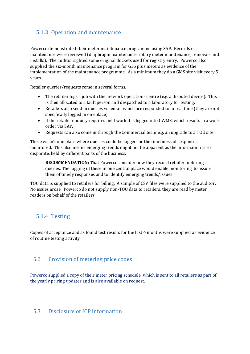## <span id="page-20-0"></span>5.1.3 Operation and maintenance

Powerco demonstrated their meter maintenance programme using SAP. Records of maintenance were reviewed (diaphragm maintenance, rotary meter maintenance, removals and installs). The auditor sighted some original dockets used for registry entry. Powerco also supplied the six-month maintenance program for G16 plus meters as evidence of the implementation of the maintenance programme. As a minimum they do a GMS site visit every 5 years.

Retailer queries/requests come in several forms.

- The retailer logs a job with the network operations centre (e.g. a disputed device). This is then allocated to a fault person and despatched to a laboratory for testing.
- Retailers also send in queries via email which are responded to in real time (they are not specifically logged in one place)
- If the retailer enquiry requires field work it is logged into CWMS, which results in a work order via SAP.
- Requests can also come in through the Commercial team e.g. an upgrade to a TOU site

There wasn't one place where queries could be logged, or the timeliness of responses monitored. This also means emerging trends might not be apparent as the information is so disparate, held by different parts of the business.

**RECOMMENDATION:** That Powerco consider how they record retailer metering queries. The logging of these in one central place would enable monitoring, to assure them of timely responses and to identify emerging trends/issues.

TOU data is supplied to retailers for billing. A sample of CSV files were supplied to the auditor. No issues arose. Powerco do not supply non-TOU data to retailers, they are read by meter readers on behalf of the retailers.

#### <span id="page-20-1"></span>5.1.4 Testing

Copies of acceptance and as found test results for the last 4 months were supplied as evidence of routine testing activity.

#### <span id="page-20-2"></span>5.2 Provision of metering price codes

Powerco supplied a copy of their meter pricing schedule, which is sent to all retailers as part of the yearly pricing updates and is also available on request.

#### <span id="page-20-3"></span>5.3 Disclosure of ICP information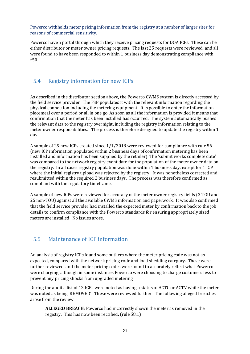Powerco withholds meter pricing information from the registry at a number of larger sites for reasons of commercial sensitivity.

Powerco have a portal through which they receive pricing requests for DOA ICPs. These can be either distributor or meter owner pricing requests. The last 25 requests were reviewed, and all were found to have been responded to within 1 business day demonstrating compliance with r50.

### <span id="page-21-0"></span>5.4 Registry information for new ICPs

As described in the distributor section above, the Powerco CWMS system is directly accessed by the field service provider. The FSP populates it with the relevant information regarding the physical connection including the metering equipment. It is possible to enter the information piecemeal over a period or all in one go. As soon as all the information is provided it means that confirmation that the meter has been installed has occurred. The system automatically pushes the relevant data to the registry overnight, including the registry information relating to the meter owner responsibilities. The process is therefore designed to update the registry within 1 day.

A sample of 25 new ICPs created since 1/1/2018 were reviewed for compliance with rule 56 (new ICP information populated within 2 business days of confirmation metering has been installed and information has been supplied by the retailer). The 'submit works complete date' was compared to the network registry event date for the population of the meter owner data on the registry. In all cases registry population was done within 1 business day, except for 1 ICP where the initial registry upload was rejected by the registry. It was nonetheless corrected and resubmitted within the required 2 business days. The process was therefore confirmed as compliant with the regulatory timeframe.

A sample of new ICPs were reviewed for accuracy of the meter owner registry fields (3 TOU and 25 non-TOU) against all the available CWMS information and paperwork. It was also confirmed that the field service provider had installed the expected meter by confirmation back to the job details to confirm compliance with the Powerco standards for ensuring appropriately sized meters are installed. No issues arose.

### <span id="page-21-1"></span>5.5 Maintenance of ICP information

An analysis of registry ICPs found some outliers where the meter pricing code was not as expected, compared with the network pricing code and load shedding category. These were further reviewed, and the meter pricing codes were found to accurately reflect what Powerco were charging, although in some instances Powerco were choosing to charge customers less to prevent any pricing shocks from upgraded metering.

During the audit a list of 12 ICPs were noted as having a status of ACTC or ACTV while the meter was noted as being 'REMOVED'. These were reviewed further. The following alleged breaches arose from the review.

**ALLEGED BREACH**: Powerco had incorrectly shown the meter as removed in the registry. This has now been rectified. (rule 58.1)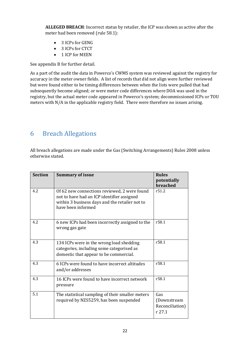**ALLEGED BREACH**: Incorrect status by retailer, the ICP was shown as active after the meter had been removed (rule 58.1):

- 3 ICPs for GENG
- 3 ICPs for CTCT
- 1 ICP for MEEN

See appendix B for further detail.

As a part of the audit the data in Powerco's CWMS system was reviewed against the registry for accuracy in the meter owner fields. A list of records that did not align were further reviewed but were found either to be timing differences between when the lists were pulled that had subsequently become aligned; or were meter code differences where DOA was used in the registry, but the actual meter code appeared in Powerco's system; decommissioned ICPs or TOU meters with N/A in the applicable registry field. There were therefore no issues arising.

## <span id="page-22-0"></span>6 Breach Allegations

All breach allegations are made under the Gas (Switching Arrangements) Rules 2008 unless otherwise stated.

| <b>Section</b> | <b>Summary of issue</b>                                                                                                                                            | <b>Rules</b><br>potentially<br>breached         |
|----------------|--------------------------------------------------------------------------------------------------------------------------------------------------------------------|-------------------------------------------------|
| 4.2            | Of 62 new connections reviewed, 2 were found<br>not to have had an ICP identifier assigned<br>within 3 business days and the retailer not to<br>have been informed | r51.2                                           |
| 4.2            | 6 new ICPs had been incorrectly assigned to the<br>wrong gas gate                                                                                                  | r <sub>58.1</sub>                               |
| 4.3            | 134 ICPs were in the wrong load shedding<br>categories, including some categorised as<br>domestic that appear to be commercial.                                    | r58.1                                           |
| 4.3            | 6 ICPs were found to have incorrect altitudes<br>and/or addresses                                                                                                  | r58.1                                           |
| 4.3            | 16 ICPs were found to have incorrect network<br>pressure                                                                                                           | r58.1                                           |
| 5.1            | The statistical sampling of their smaller meters<br>required by NZS5259, has been suspended                                                                        | Gas<br>(Downstream<br>Reconciliation)<br>r 27.1 |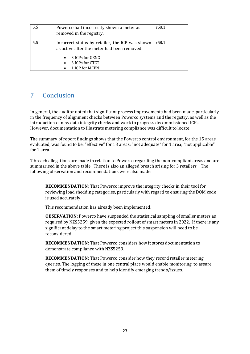| 5.5 | Powerco had incorrectly shown a meter as<br>removed in the registry.                           | r58.1 |
|-----|------------------------------------------------------------------------------------------------|-------|
| 5.5 | Incorrect status by retailer, the ICP was shown<br>as active after the meter had been removed. | r58.1 |
|     | 3 ICPs for GENG<br>$\bullet$<br>3 ICPs for CTCT<br>$\bullet$<br>1 ICP for MEEN                 |       |

## <span id="page-23-0"></span>7 Conclusion

In general, the auditor noted that significant process improvements had been made, particularly in the frequency of alignment checks between Powerco systems and the registry, as well as the introduction of new data integrity checks and work to progress decommissioned ICPs. However, documentation to illustrate metering compliance was difficult to locate.

The summary of report findings shows that the Powerco control environment, for the 15 areas evaluated, was found to be: "effective" for 13 areas; "not adequate" for 1 area; "not applicable" for 1 area.

7 breach allegations are made in relation to Powerco regarding the non-compliant areas and are summarised in the above table. There is also an alleged breach arising for 3 retailers. The following observation and recommendations were also made:

**RECOMMENDATION**: That Powerco improve the integrity checks in their tool for reviewing load shedding categories, particularly with regard to ensuring the DOM code is used accurately.

This recommendation has already been implemented.

**OBSERVATION:** Powerco have suspended the statistical sampling of smaller meters as required by NZS5259, given the expected rollout of smart meters in 2022. If there is any significant delay to the smart metering project this suspension will need to be reconsidered.

**RECOMMENDATION:** That Powerco considers how it stores documentation to demonstrate compliance with NZS5259.

**RECOMMENDATION:** That Powerco consider how they record retailer metering queries. The logging of these in one central place would enable monitoring, to assure them of timely responses and to help identify emerging trends/issues.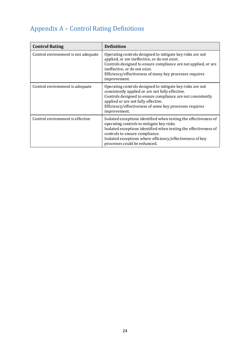## <span id="page-24-0"></span>Appendix A – Control Rating Definitions

| <b>Control Rating</b>               | <b>Definition</b>                                                                                                                                                                                                                                                                                                |
|-------------------------------------|------------------------------------------------------------------------------------------------------------------------------------------------------------------------------------------------------------------------------------------------------------------------------------------------------------------|
| Control environment is not adequate | Operating controls designed to mitigate key risks are not<br>applied, or are ineffective, or do not exist.<br>Controls designed to ensure compliance are not applied, or are<br>ineffective, or do not exist.<br>Efficiency/effectiveness of many key processes requires<br>improvement.                         |
| Control environment is adequate     | Operating controls designed to mitigate key risks are not<br>consistently applied or are not fully effective.<br>Controls designed to ensure compliance are not consistently<br>applied or are not fully effective.<br>Efficiency/effectiveness of some key processes requires<br>improvement.                   |
| Control environment is effective    | Isolated exceptions identified when testing the effectiveness of<br>operating controls to mitigate key risks.<br>Isolated exceptions identified when testing the effectiveness of<br>controls to ensure compliance.<br>Isolated exceptions where efficiency/effectiveness of key<br>processes could be enhanced. |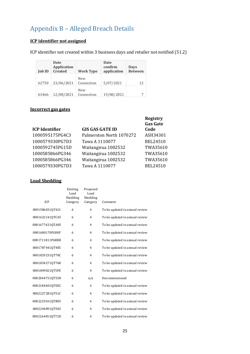## <span id="page-25-0"></span>Appendix B – Alleged Breach Details

## **ICP identifier not assigned**

ICP identifier not created within 3 business days and retailer not notified (51.2)

| <b>Job ID</b> | Date<br><b>Application</b><br><b>Created</b> | <b>Work Type</b>  | Date<br>confirm<br>application | <b>Days</b><br><b>Between</b> |
|---------------|----------------------------------------------|-------------------|--------------------------------|-------------------------------|
| 62750         | 23/06/2021                                   | New<br>Connection | 5/07/2021                      | 12                            |
| 63466         | 12/08/2021                                   | New<br>Connection | 19/08/2021                     |                               |

#### **Incorrect gas gates**

| <b>GIS GAS GATE ID</b>   | <b>Registry</b><br><b>Gas Gate</b><br>Code |
|--------------------------|--------------------------------------------|
| Palmerston North 1070272 | ASH34301                                   |
| Tawa A 1110077           | <b>BEL24510</b>                            |
| Waitangirua 1002532      | TWA35610                                   |
| Waitangirua 1002532      | TWA35610                                   |
| Waitangirua 1002532      | TWA35610                                   |
| Tawa A 1110077           | BEL24510                                   |
|                          |                                            |

#### **Load Shedding**

| ICP             | Existing<br>Load<br>Shedding<br>Category | Proposed<br>Load<br>Shedding<br>Category | Comment                        |
|-----------------|------------------------------------------|------------------------------------------|--------------------------------|
| 0001586031QT421 | 6                                        | $\overline{4}$                           | To be updated in annual review |
| 0001632141QTC45 | 6                                        | $\overline{4}$                           | To be updated in annual review |
| 0001677421QTA05 | 6                                        | $\overline{4}$                           | To be updated in annual review |
| 0001680170PG00F | 6                                        | $\overline{4}$                           | To be updated in annual review |
| 0001711811PG8BB | 6                                        | $\overline{4}$                           | To be updated in annual review |
| 0001787441QT405 | 6                                        | 4                                        | To be updated in annual review |
| 0001829231QT70C | 6                                        | $\overline{4}$                           | To be updated in annual review |
| 00018342710T768 | 6                                        | 4                                        | To be updated in annual review |
| 0001849021QT5FE | 6                                        | $\overline{4}$                           | To be updated in annual review |
| 00020447510T53B | 6                                        | n/a                                      | Decommissioned                 |
| 0002184401QTEEC | 6                                        | $\overline{4}$                           | To be updated in annual review |
| 0002227281QT51C | 6                                        | $\overline{4}$                           | To be updated in annual review |
| 0002235561QTB05 | 6                                        | $\overline{4}$                           | To be updated in annual review |
| 0002244891QT503 | 6                                        | 4                                        | To be updated in annual review |
| 00022644510T72D | 6                                        | 4                                        | To be updated in annual review |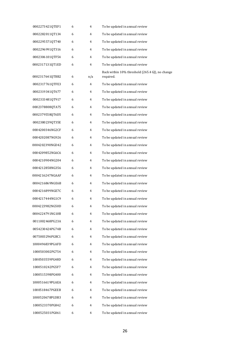| 0002273421QTEF1 | 6 | 4   | To be updated in annual review                               |
|-----------------|---|-----|--------------------------------------------------------------|
| 0002282011QT134 | 6 | 4   | To be updated in annual review                               |
| 0002295571QT740 | 6 | 4   | To be updated in annual review                               |
| 00022969910T316 | 6 | 4   | To be updated in annual review                               |
| 0002306101QTF54 | 6 | 4   | To be updated in annual review                               |
| 0002317131QT1ED | 6 | 4   | To be updated in annual review                               |
| 0002317641QTBB2 | 6 | n/a | Back within 10% threshold (265.4 GJ), no change<br>required. |
| 0002317761QTFE3 | 6 | 4   | To be updated in annual review                               |
| 0002319341QT677 | 6 | 4   | To be updated in annual review                               |
| 0002333481QT917 | 6 | 4   | To be updated in annual review                               |
| 0002378808QTA75 | 6 | 4   | To be updated in annual review                               |
| 0002379558QT6D5 | 6 | 4   | To be updated in annual review                               |
| 0002380239QT35E | 6 | 4   | To be updated in annual review                               |
| 0004200346NG2CF | 6 | 4   | To be updated in annual review                               |
| 0004202087NG926 | 6 | 4   | To be updated in annual review                               |
| 0004202390NGD42 | 6 | 4   | To be updated in annual review                               |
| 0004209852NG6C6 | 6 | 4   | To be updated in annual review                               |
| 0004210904NG204 | 6 | 4   | To be updated in annual review                               |
| 0004212858NG356 | 6 | 4   | To be updated in annual review                               |
| 0004216247NGAAF | 6 | 4   | To be updated in annual review                               |
| 0004216869NGE6B | 6 | 4   | To be updated in annual review                               |
| 0004216899NGE7C | 6 | 4   | To be updated in annual review                               |
| 0004217444NG1C9 | 6 | 4   | To be updated in annual review                               |
| 0004223982NG50D | 6 | 4   | To be updated in annual review                               |
| 0004224791NG10B | 6 | 4   | To be updated in annual review                               |
| 0011002468PG23A | 6 | 4   | To be updated in annual review                               |
| 0054230424PG74B | 6 | 4   | To be updated in annual review                               |
| 0075003296PGBC1 | 6 | 4   | To be updated in annual review                               |
| 1000496839PGAFD | 6 | 4   | To be updated in annual review                               |
| 1000503002PG754 | 6 | 4   | To be updated in annual review                               |
| 1000503559PG48D | 6 | 4   | To be updated in annual review                               |
| 1000510242PG5F7 | 6 | 4   | To be updated in annual review                               |
| 1000515398PG400 | 6 | 4   | To be updated in annual review                               |
| 1000516619PGAEA | 6 | 4   | To be updated in annual review                               |
| 1000518467PGEEB | 6 | 4   | To be updated in annual review                               |
| 1000520678PGDB3 | 6 | 4   | To be updated in annual review                               |
| 1000523370PG842 | 6 | 4   | To be updated in annual review                               |
| 1000525031PG061 | 6 | 4   | To be updated in annual review                               |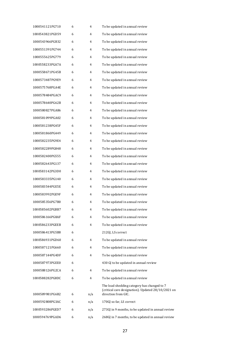| 1000541121PG710 | 6 | 4   | To be updated in annual review                                                                                           |  |
|-----------------|---|-----|--------------------------------------------------------------------------------------------------------------------------|--|
| 1000543821PGD59 | 6 | 4   | To be updated in annual review                                                                                           |  |
| 1000543966PGB32 | 6 | 4   | To be updated in annual review                                                                                           |  |
| 1000551391PG744 | 6 | 4   | To be updated in annual review                                                                                           |  |
| 1000555625PG779 | 6 | 4   | To be updated in annual review                                                                                           |  |
| 1000558233PGA7A | 6 | 4   | To be updated in annual review                                                                                           |  |
| 1000558671PG45B | 6 | 4   | To be updated in annual review                                                                                           |  |
| 1000573487PG9E9 | 6 | 4   | To be updated in annual review                                                                                           |  |
| 1000575768PGA4E | 6 | 4   | To be updated in annual review                                                                                           |  |
| 1000578484PGAC9 | 6 | 4   | To be updated in annual review                                                                                           |  |
| 1000578640PG62B | 6 | 4   | To be updated in annual review                                                                                           |  |
| 1000580827PGA86 | 6 | 4   | To be updated in annual review                                                                                           |  |
| 1000581099PGA02 | 6 | 4   | To be updated in annual review                                                                                           |  |
| 1000581238PG45F | 6 | 4   | To be updated in annual review                                                                                           |  |
| 1000581860PG449 | 6 | 4   | To be updated in annual review                                                                                           |  |
| 1000582235PG9E4 | 6 | 4   | To be updated in annual review                                                                                           |  |
| 1000582289PG848 | 6 | 4   | To be updated in annual review                                                                                           |  |
| 1000582400PG555 | 6 | 4   | To be updated in annual review                                                                                           |  |
| 1000582643PG137 | 6 | 4   | To be updated in annual review                                                                                           |  |
| 1000583142PG3D0 | 6 | 4   | To be updated in annual review                                                                                           |  |
| 1000583335PG140 | 6 | 4   | To be updated in annual review                                                                                           |  |
| 1000583544PGE5E | 6 | 4   | To be updated in annual review                                                                                           |  |
| 1000583992PGE9F | 6 | 4   | To be updated in annual review                                                                                           |  |
| 1000585356PG7B0 | 6 | 4   | To be updated in annual review                                                                                           |  |
| 1000585602PGBB7 | 6 | 4   | To be updated in annual review                                                                                           |  |
| 1000586166PG8AF | 6 | 4   | To be updated in annual review                                                                                           |  |
| 1000586233PGEEB | 6 | 4   | To be updated in annual review                                                                                           |  |
| 1000586413PG5B8 | 6 |     | 212GJ, LS correct                                                                                                        |  |
| 1000586931PGD60 | 6 | 4   | To be updated in annual review                                                                                           |  |
| 1000587121PG660 | 6 | 4   | To be updated in annual review                                                                                           |  |
| 1000587144PG4DF | 6 | 4   | To be updated in annual review                                                                                           |  |
| 1000587973PGEE0 | 6 |     | 430 GJ to be updated in annual review                                                                                    |  |
| 1000588126PG2CA | 6 | 4   | To be updated in annual review                                                                                           |  |
| 1000588282PG8DC | 6 | 4   | To be updated in annual review                                                                                           |  |
| 1000589981PG6B2 | 6 | n/a | The load shedding category has changed to 7<br>(critical care designation). Updated 28/10/2021 on<br>direction from GIC. |  |
| 1000592808PG3AC | 6 | n/a | 170GJ so far, LS correct                                                                                                 |  |
| 1000593286PGED7 | 6 | n/a | 273GJ in 9 months, to be updated in annual review                                                                        |  |
| 1000594769PGAD6 | 6 | n/a | 268GJ in 7 months, to be updated in annual review                                                                        |  |
|                 |   |     |                                                                                                                          |  |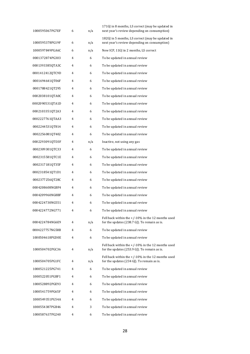| 1000595067PG7EF | 6 | n/a | 171GJ in 8 months, LS correct (may be updated in<br>next year's review depending on consumption)     |
|-----------------|---|-----|------------------------------------------------------------------------------------------------------|
| 1000595378PG19F | 6 | n/a | 182GJ in 5 months, LS correct (may be updated in<br>next year's review depending on consumption)     |
| 1000597849PGA6C | 6 | n/a | New ICP, 11GJ in 2 months, LS correct                                                                |
| 0001372874PG303 | 4 | 6   | To be updated in annual review                                                                       |
| 0001393385QTA3C | 4 | 6   | To be updated in annual review                                                                       |
| 0001412412QTC9D | 4 | 6   | To be updated in annual review                                                                       |
| 0001694641QT06F | 4 | 6   | To be updated in annual review                                                                       |
| 0001788421QT295 | 4 | 6   | To be updated in annual review                                                                       |
| 0002038101QTA0C | 4 | 6   | To be updated in annual review                                                                       |
| 0002090531QTA1D | 4 | 6   | To be updated in annual review                                                                       |
| 00021033510T2A3 | 4 | 6   | To be updated in annual review                                                                       |
| 0002227761QTAA3 | 4 | 6   | To be updated in annual review                                                                       |
| 0002244531QT814 | 4 | 6   | To be updated in annual review                                                                       |
| 0002256081QT402 | 4 | 6   | To be updated in annual review                                                                       |
| 0002293091QTD3F | 4 | n/a | Inactive, not using any gas                                                                          |
| 0002309301QTC33 | 4 | 6   | To be updated in annual review                                                                       |
| 0002315581QTC1E | 4 | 6   | To be updated in annual review                                                                       |
| 0002317181QT35F | 4 | 6   | To be updated in annual review                                                                       |
| 0002318541QT1D1 | 4 | 6   | To be updated in annual review                                                                       |
| 0002377256QT28C | 4 | 6   | To be updated in annual review                                                                       |
| 0004208608NGBF4 | 4 | 6   | To be updated in annual review                                                                       |
| 0004209960NG8BF | 4 | 6   | To be updated in annual review                                                                       |
| 0004224730NG551 | 4 | 6   | To be updated in annual review                                                                       |
| 0004224772NG771 | 4 | 6   | To be updated in annual review                                                                       |
| 0004224784NG6E9 | 4 | n/a | Fell back within the $+/-10\%$ in the 12 months used<br>for the updates (238.7 GJ). To remain as is. |
| 0004227757NG58B | 4 | 6   | To be updated in annual review                                                                       |
| 1000504618PGD0E | 4 | 6   | To be updated in annual review                                                                       |
| 1000504702PGC36 | 4 | n/a | Fell back within the $+/-10\%$ in the 12 months used<br>for the updates (253.9 GJ). To remain as is. |
| 1000504705PG1FC | 4 | n/a | Fell back within the $+/-10\%$ in the 12 months used<br>for the updates (234 GJ). To remain as is.   |
| 1000521225PG741 | 4 | 6   | To be updated in annual review                                                                       |
| 1000522051PGBF1 | 4 | 6   | To be updated in annual review                                                                       |
| 1000528892PGE93 | 4 | 6   | To be updated in annual review                                                                       |
| 1000541759PG65F | 4 | 6   | To be updated in annual review                                                                       |
| 1000549351PG54A | 4 | 6   | To be updated in annual review                                                                       |
| 1000554387PGB46 | 4 | 3   | To be updated in annual review                                                                       |
| 1000587637PG240 | 4 | 6   | To be updated in annual review                                                                       |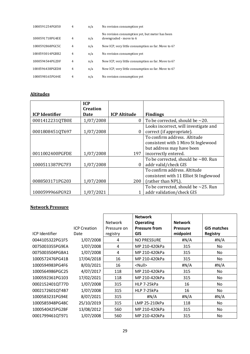| 1000591254PG050 | 4              | n/a | No revision consumption yet                                               |  |
|-----------------|----------------|-----|---------------------------------------------------------------------------|--|
| 1000591718PG4EE | $\overline{4}$ | n/a | No revision consumption yet, but meter has been<br>downgraded - move to 6 |  |
| 1000592868PGC5C | 4              | n/a | New ICP, very little consumption so far. Move to 6?                       |  |
| 1000593014PGBB2 | $\overline{4}$ | n/a | No revision consumption yet                                               |  |
| 1000594544PG2DF | $\overline{4}$ | n/a | New ICP, very little consumption so far. Move to 6?                       |  |
| 1000596438PGED8 | $\overline{4}$ | n/a | New ICP, very little consumption so far. Move to 6?                       |  |
| 1000598165PG44E | 4              | n/a | No revision consumption yet                                               |  |

#### **Altitudes**

|                       | <b>ICP</b><br><b>Creation</b> |                     |                                           |
|-----------------------|-------------------------------|---------------------|-------------------------------------------|
| <b>ICP</b> Identifier | Date                          | <b>ICP Altitude</b> | <b>Findings</b>                           |
| 0001412231QTB0E       | 1/07/2008                     | 0                   | To be corrected, should be $\sim$ 20.     |
|                       |                               |                     | Looks incorrect, will investigate and     |
| 0001808451QT697       | 1/07/2008                     | 0                   | correct (if appropriate).                 |
|                       |                               |                     | To confirm address. Altitude              |
|                       |                               |                     | consistent with 1 Miro St Inglewood       |
|                       |                               |                     | but address may have been                 |
| 0011002400PGFDE       | 1/07/2008                     | 197                 | incorrectly entered.                      |
|                       |                               |                     | To be corrected, should be $\sim$ 80. Run |
| 1000511387PG7F3       | 1/07/2008                     | $\theta$            | addr valid/check GIS                      |
|                       |                               |                     | To confirm address. Altitude              |
|                       |                               |                     | consistent with 11 Elliot St Inglewood    |
| 0088503171PG203       | 1/07/2008                     | 200                 | (rather than NPL).                        |
|                       |                               |                     | To be corrected, should be $\sim$ 25. Run |
| 1000599966PG923       | 1/07/2021                     |                     | addr validation/check GIS                 |

#### **Network Pressure**

| <b>ICP Identifier</b> | <b>ICP Creation</b><br>Date | <b>Network</b><br>Pressure on<br>registry | <b>Network</b><br><b>Operating</b><br><b>Pressure from</b><br><b>GIS</b> | <b>Network</b><br><b>Pressure</b><br>midpoint | <b>GIS matches</b><br><b>Registry</b> |
|-----------------------|-----------------------------|-------------------------------------------|--------------------------------------------------------------------------|-----------------------------------------------|---------------------------------------|
| 0044105322PG1F5       | 1/07/2008                   | 4                                         | <b>NO PRESSURE</b>                                                       | #N/A                                          | #N/A                                  |
| 0075003355PG9EA       | 1/07/2008                   | 4                                         | MP 210-420kPa                                                            | 315                                           | No                                    |
| 0075003504PGBA1       | 1/07/2008                   | 4                                         | MP 210-420kPa                                                            | 315                                           | No                                    |
| 1000572476PG41B       | 17/04/2018                  | 16                                        | MP 210-420kPa                                                            | 315                                           | No                                    |
| 1000594983PG4F6       | 8/03/2021                   | 16                                        | <null></null>                                                            | H N/A                                         | #N/A                                  |
| 1000564986PGC25       | 4/07/2017                   | 118                                       | MP 210-420kPa                                                            | 315                                           | No                                    |
| 1000592361PG103       | 17/02/2021                  | 118                                       | MP 210-420kPa                                                            | 315                                           | No                                    |
| 0002152401QT77D       | 1/07/2008                   | 315                                       | HLP 7-25kPa                                                              | 16                                            | No                                    |
| 0002172601QT4B7       | 1/07/2008                   | 315                                       | HLP 7-25kPa                                                              | 16                                            | No                                    |
| 1000583231PG94E       | 8/07/2021                   | 315                                       | #N/A                                                                     | #N/A                                          | #N/A                                  |
| 1000585948PG48C       | 25/10/2019                  | 315                                       | LMP 25-210kPa                                                            | 118                                           | No                                    |
| 1000540425PG2BF       | 13/08/2012                  | 560                                       | MP 210-420kPa                                                            | 315                                           | No                                    |
| 0001799461QT971       | 1/07/2008                   | 560                                       | MP 210-420kPa                                                            | 315                                           | No                                    |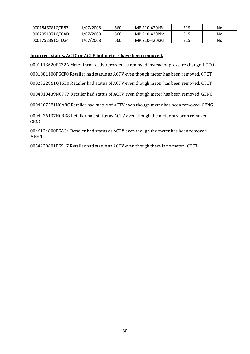| 0001846781QTB83 | 1/07/2008 | 560 | MP 210-420kPa | 315 | No |
|-----------------|-----------|-----|---------------|-----|----|
| 0002051071QT8AD | 1/07/2008 | 560 | MP 210-420kPa | 315 | No |
| 0001752391QTD34 | 1/07/2008 | 560 | MP 210-420kPa | 315 | No |

#### **Incorrect status, ACTC or ACTV but meters have been removed.**

0001113620PG72A Meter incorrectly recorded as removed instead of pressure change. POCO 0001881108PGCF0 Retailer had status as ACTV even though meter has been removed. CTCT 0002322861QT6E0 Retailer had status of ACTV even though meter has been removed. CTCT 0004010439NG777 Retailer had status of ACTV even though meter has been removed. GENG 0004207581NGA8C Retailer had status of ACTV even though meter has been removed. GENG 0004226437NG8D8 Retailer had status as ACTV even though the meter has been removed. GENG 0046124800PGA34 Retailer had status as ACTV even though the meter has been removed. MEEN

0054229601PG917 Retailer had status as ACTV even though there is no meter. CTCT